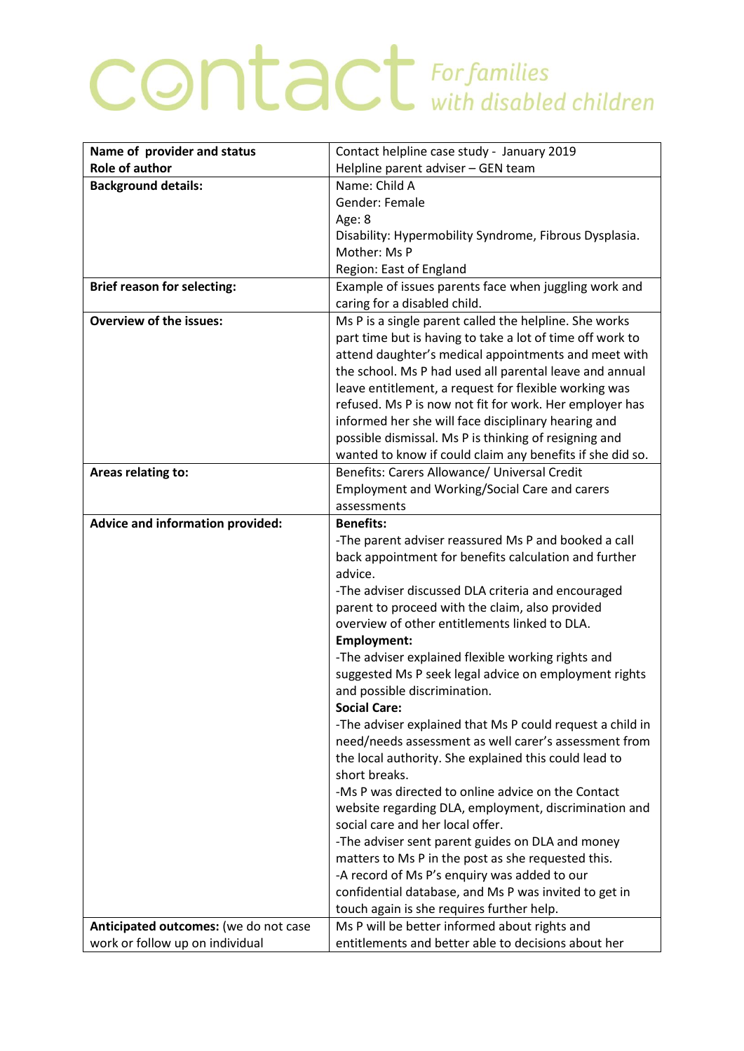## **CONTACT** For families

| Name of provider and status<br>Contact helpline case study - January 2019                                          |  |
|--------------------------------------------------------------------------------------------------------------------|--|
| <b>Role of author</b><br>Helpline parent adviser - GEN team                                                        |  |
| Name: Child A<br><b>Background details:</b>                                                                        |  |
| Gender: Female                                                                                                     |  |
| Age: 8                                                                                                             |  |
| Disability: Hypermobility Syndrome, Fibrous Dysplasia.                                                             |  |
| Mother: Ms P                                                                                                       |  |
| Region: East of England                                                                                            |  |
| Example of issues parents face when juggling work and<br><b>Brief reason for selecting:</b>                        |  |
| caring for a disabled child.                                                                                       |  |
| <b>Overview of the issues:</b><br>Ms P is a single parent called the helpline. She works                           |  |
| part time but is having to take a lot of time off work to                                                          |  |
| attend daughter's medical appointments and meet with                                                               |  |
| the school. Ms P had used all parental leave and annual                                                            |  |
| leave entitlement, a request for flexible working was                                                              |  |
| refused. Ms P is now not fit for work. Her employer has                                                            |  |
| informed her she will face disciplinary hearing and                                                                |  |
| possible dismissal. Ms P is thinking of resigning and                                                              |  |
| wanted to know if could claim any benefits if she did so.                                                          |  |
| Benefits: Carers Allowance/ Universal Credit<br>Areas relating to:                                                 |  |
| Employment and Working/Social Care and carers                                                                      |  |
| assessments                                                                                                        |  |
| <b>Advice and information provided:</b><br><b>Benefits:</b>                                                        |  |
| -The parent adviser reassured Ms P and booked a call                                                               |  |
| back appointment for benefits calculation and further                                                              |  |
| advice.                                                                                                            |  |
| -The adviser discussed DLA criteria and encouraged                                                                 |  |
| parent to proceed with the claim, also provided                                                                    |  |
| overview of other entitlements linked to DLA.                                                                      |  |
| <b>Employment:</b>                                                                                                 |  |
| -The adviser explained flexible working rights and                                                                 |  |
| suggested Ms P seek legal advice on employment rights                                                              |  |
| and possible discrimination.<br><b>Social Care:</b>                                                                |  |
|                                                                                                                    |  |
| -The adviser explained that Ms P could request a child in<br>need/needs assessment as well carer's assessment from |  |
| the local authority. She explained this could lead to                                                              |  |
| short breaks.                                                                                                      |  |
| -Ms P was directed to online advice on the Contact                                                                 |  |
| website regarding DLA, employment, discrimination and                                                              |  |
| social care and her local offer.                                                                                   |  |
| -The adviser sent parent guides on DLA and money                                                                   |  |
| matters to Ms P in the post as she requested this.                                                                 |  |
| -A record of Ms P's enquiry was added to our                                                                       |  |
| confidential database, and Ms P was invited to get in                                                              |  |
| touch again is she requires further help.                                                                          |  |
| Ms P will be better informed about rights and<br>Anticipated outcomes: (we do not case                             |  |
| entitlements and better able to decisions about her<br>work or follow up on individual                             |  |